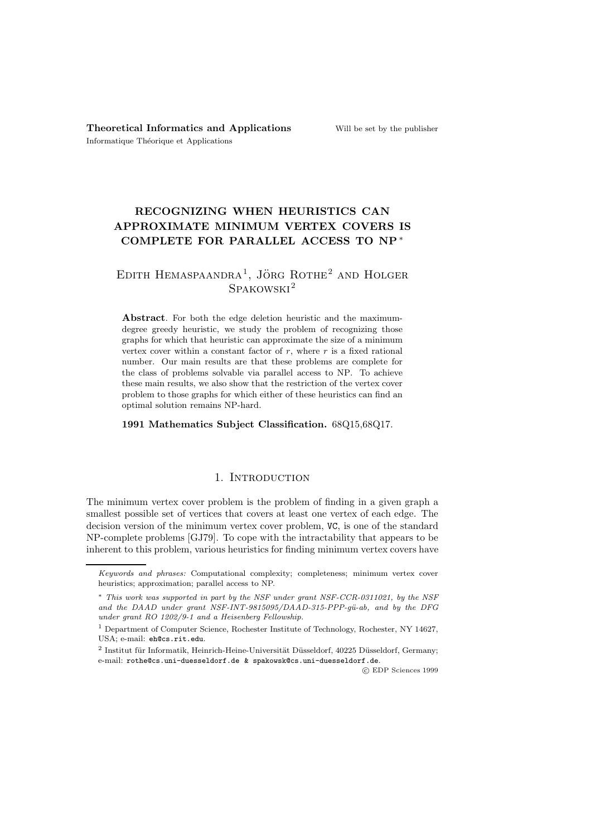# RECOGNIZING WHEN HEURISTICS CAN APPROXIMATE MINIMUM VERTEX COVERS IS COMPLETE FOR PARALLEL ACCESS TO NP <sup>∗</sup>

## EDITH HEMASPAANDRA<sup>1</sup>, JÖRG ROTHE<sup>2</sup> AND HOLGER Spakowski<sup>2</sup>

Abstract. For both the edge deletion heuristic and the maximumdegree greedy heuristic, we study the problem of recognizing those graphs for which that heuristic can approximate the size of a minimum vertex cover within a constant factor of  $r$ , where  $r$  is a fixed rational number. Our main results are that these problems are complete for the class of problems solvable via parallel access to NP. To achieve these main results, we also show that the restriction of the vertex cover problem to those graphs for which either of these heuristics can find an optimal solution remains NP-hard.

1991 Mathematics Subject Classification. 68Q15,68Q17.

## 1. INTRODUCTION

The minimum vertex cover problem is the problem of finding in a given graph a smallest possible set of vertices that covers at least one vertex of each edge. The decision version of the minimum vertex cover problem, VC, is one of the standard NP-complete problems [GJ79]. To cope with the intractability that appears to be inherent to this problem, various heuristics for finding minimum vertex covers have

c EDP Sciences 1999

Keywords and phrases: Computational complexity; completeness; minimum vertex cover heuristics; approximation; parallel access to NP.

<sup>∗</sup> This work was supported in part by the NSF under grant NSF-CCR-0311021, by the NSF and the DAAD under grant NSF-INT-9815095/DAAD-315-PPP-q $\ddot{u}$ -ab, and by the DFG under grant RO 1202/9-1 and a Heisenberg Fellowship.

 $^{\rm 1}$  Department of Computer Science, Rochester Institute of Technology, Rochester, NY 14627, USA; e-mail: eh@cs.rit.edu.

<sup>&</sup>lt;sup>2</sup> Institut für Informatik, Heinrich-Heine-Universität Düsseldorf, 40225 Düsseldorf, Germany; e-mail: rothe@cs.uni-duesseldorf.de & spakowsk@cs.uni-duesseldorf.de.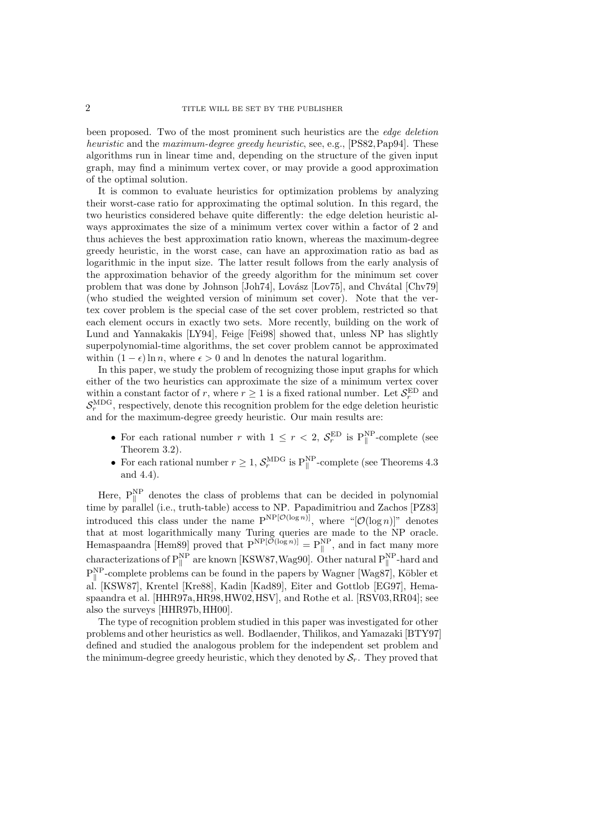been proposed. Two of the most prominent such heuristics are the edge deletion heuristic and the maximum-degree greedy heuristic, see, e.g., [PS82, Pap94]. These algorithms run in linear time and, depending on the structure of the given input graph, may find a minimum vertex cover, or may provide a good approximation of the optimal solution.

It is common to evaluate heuristics for optimization problems by analyzing their worst-case ratio for approximating the optimal solution. In this regard, the two heuristics considered behave quite differently: the edge deletion heuristic always approximates the size of a minimum vertex cover within a factor of 2 and thus achieves the best approximation ratio known, whereas the maximum-degree greedy heuristic, in the worst case, can have an approximation ratio as bad as logarithmic in the input size. The latter result follows from the early analysis of the approximation behavior of the greedy algorithm for the minimum set cover problem that was done by Johnson  $[Joh74]$ , Lovász  $[Lov75]$ , and Chvátal  $[Chv79]$ (who studied the weighted version of minimum set cover). Note that the vertex cover problem is the special case of the set cover problem, restricted so that each element occurs in exactly two sets. More recently, building on the work of Lund and Yannakakis [LY94], Feige [Fei98] showed that, unless NP has slightly superpolynomial-time algorithms, the set cover problem cannot be approximated within  $(1 - \epsilon) \ln n$ , where  $\epsilon > 0$  and ln denotes the natural logarithm.

In this paper, we study the problem of recognizing those input graphs for which either of the two heuristics can approximate the size of a minimum vertex cover within a constant factor of r, where  $r \geq 1$  is a fixed rational number. Let  $\mathcal{S}_r^{\text{ED}}$  and  $\mathcal{S}_r^{\text{MDG}}$ , respectively, denote this recognition problem for the edge deletion heuristic and for the maximum-degree greedy heuristic. Our main results are:

- For each rational number r with  $1 \leq r < 2$ ,  $S_r^{\text{ED}}$  is  $P_{\parallel}^{\text{NP}}$ -complete (see Theorem 3.2).
- For each rational number  $r \geq 1$ ,  $\mathcal{S}_r^{\text{MDG}}$  is  $\text{P}_{\parallel}^{\text{NP}}$ -complete (see Theorems 4.3) and 4.4).

Here,  $P_{\parallel}^{NP}$  denotes the class of problems that can be decided in polynomial time by parallel (i.e., truth-table) access to NP. Papadimitriou and Zachos [PZ83] introduced this class under the name  $P^{NP[O(\log n)]}$ , where "[ $O(\log n)$ ]" denotes that at most logarithmically many Turing queries are made to the NP oracle. Hemaspaandra [Hem89] proved that  $P^{NP[O(\log n)]} = P_{\parallel}^{NP}$ , and in fact many more characterizations of  $P_{\parallel}^{NP}$  are known [KSW87,Wag90]. Other natural  $P_{\parallel}^{NP}$ -hard and  $P_{\parallel}^{NP}$ -complete problems can be found in the papers by Wagner [Wag87], Köbler et al. [KSW87], Krentel [Kre88], Kadin [Kad89], Eiter and Gottlob [EG97], Hemaspaandra et al. [HHR97a,HR98,HW02,HSV], and Rothe et al. [RSV03,RR04]; see also the surveys [HHR97b, HH00].

The type of recognition problem studied in this paper was investigated for other problems and other heuristics as well. Bodlaender, Thilikos, and Yamazaki [BTY97] defined and studied the analogous problem for the independent set problem and the minimum-degree greedy heuristic, which they denoted by  $S_r$ . They proved that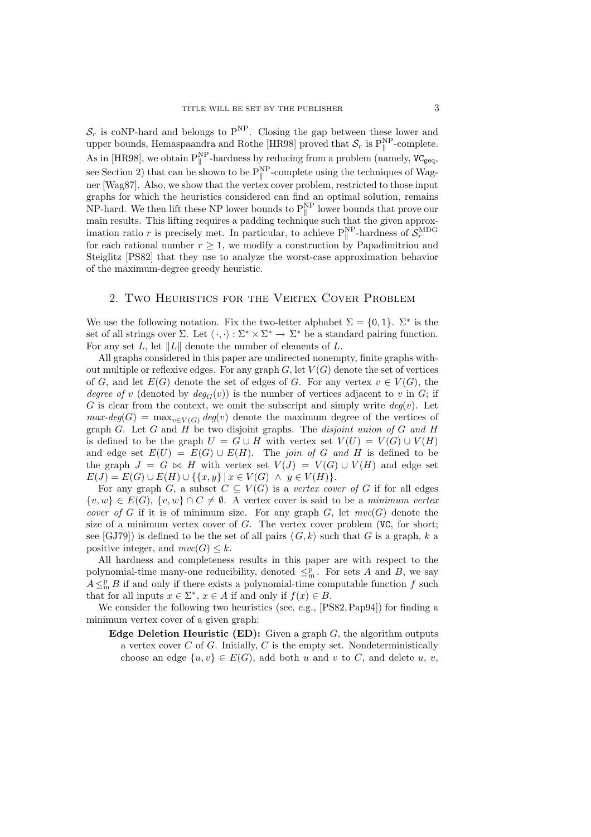$\mathcal{S}_r$  is coNP-hard and belongs to P<sup>NP</sup>. Closing the gap between these lower and upper bounds, Hemaspaandra and Rothe [HR98] proved that  $S_r$  is  $P_{\parallel}^{\text{NP}}$ -complete. As in [HR98], we obtain  $P_{\parallel}^{NP}$ -hardness by reducing from a problem (namely,  $VC_{\text{geq}}$ , see Section 2) that can be shown to be  $P_{\parallel}^{NP}$ -complete using the techniques of Wagner [Wag87]. Also, we show that the vertex cover problem, restricted to those input graphs for which the heuristics considered can find an optimal solution, remains NP-hard. We then lift these NP lower bounds to  $P_{\parallel}^{\text{NP}}$  lower bounds that prove our main results. This lifting requires a padding technique such that the given approximation ratio r is precisely met. In particular, to achieve  $P_{\parallel}^{\text{NP}}$ -hardness of  $\mathcal{S}_r^{\text{MDG}}$ for each rational number  $r \geq 1$ , we modify a construction by Papadimitriou and Steiglitz [PS82] that they use to analyze the worst-case approximation behavior of the maximum-degree greedy heuristic.

#### 2. Two Heuristics for the Vertex Cover Problem

We use the following notation. Fix the two-letter alphabet  $\Sigma = \{0, 1\}$ .  $\Sigma^*$  is the set of all strings over  $\Sigma$ . Let  $\langle \cdot, \cdot \rangle : \Sigma^* \times \Sigma^* \to \Sigma^*$  be a standard pairing function. For any set L, let  $||L||$  denote the number of elements of L.

All graphs considered in this paper are undirected nonempty, finite graphs without multiple or reflexive edges. For any graph  $G$ , let  $V(G)$  denote the set of vertices of G, and let  $E(G)$  denote the set of edges of G. For any vertex  $v \in V(G)$ , the degree of v (denoted by  $deg_G(v)$ ) is the number of vertices adjacent to v in G; if G is clear from the context, we omit the subscript and simply write  $deg(v)$ . Let  $max-deg(G) = max_{v \in V(G)} deg(v)$  denote the maximum degree of the vertices of graph G. Let G and H be two disjoint graphs. The disjoint union of G and H is defined to be the graph  $U = G \cup H$  with vertex set  $V(U) = V(G) \cup V(H)$ and edge set  $E(U) = E(G) \cup E(H)$ . The join of G and H is defined to be the graph  $J = G \bowtie H$  with vertex set  $V(J) = V(G) \cup V(H)$  and edge set  $E(J) = E(G) \cup E(H) \cup \{\{x, y\} \mid x \in V(G) \land y \in V(H)\}.$ 

For any graph G, a subset  $C \subseteq V(G)$  is a vertex cover of G if for all edges  $\{v, w\} \in E(G)$ ,  $\{v, w\} \cap C \neq \emptyset$ . A vertex cover is said to be a minimum vertex cover of G if it is of minimum size. For any graph G, let  $mvc(G)$  denote the size of a minimum vertex cover of  $G$ . The vertex cover problem (VC, for short; see [GJ79]) is defined to be the set of all pairs  $\langle G, k \rangle$  such that G is a graph, k a positive integer, and  $mvc(G) \leq k$ .

All hardness and completeness results in this paper are with respect to the polynomial-time many-one reducibility, denoted  $\leq^p_m$ . For sets A and B, we say  $A\mathop{\leq_{\mathrm{m}}}^{\mathrm{p}} B$  if and only if there exists a polynomial-time computable function  $f$  such that for all inputs  $x \in \Sigma^*$ ,  $x \in A$  if and only if  $f(x) \in B$ .

We consider the following two heuristics (see, e.g., [PS82, Pap94]) for finding a minimum vertex cover of a given graph:

Edge Deletion Heuristic (ED): Given a graph  $G$ , the algorithm outputs a vertex cover  $C$  of  $G$ . Initially,  $C$  is the empty set. Nondeterministically choose an edge  $\{u, v\} \in E(G)$ , add both u and v to C, and delete u, v,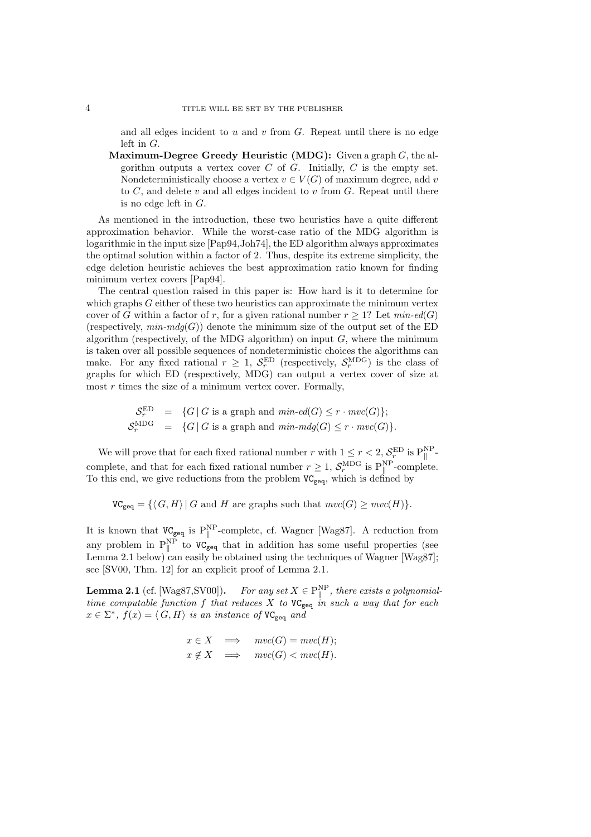and all edges incident to  $u$  and  $v$  from  $G$ . Repeat until there is no edge left in G.

Maximum-Degree Greedy Heuristic (MDG): Given a graph  $G$ , the algorithm outputs a vertex cover  $C$  of  $G$ . Initially,  $C$  is the empty set. Nondeterministically choose a vertex  $v \in V(G)$  of maximum degree, add v to  $C$ , and delete  $v$  and all edges incident to  $v$  from  $G$ . Repeat until there is no edge left in G.

As mentioned in the introduction, these two heuristics have a quite different approximation behavior. While the worst-case ratio of the MDG algorithm is logarithmic in the input size [Pap94,Joh74], the ED algorithm always approximates the optimal solution within a factor of 2. Thus, despite its extreme simplicity, the edge deletion heuristic achieves the best approximation ratio known for finding minimum vertex covers [Pap94].

The central question raised in this paper is: How hard is it to determine for which graphs  $G$  either of these two heuristics can approximate the minimum vertex cover of G within a factor of r, for a given rational number  $r \geq 1$ ? Let  $min$ -ed(G) (respectively,  $min\text{-}mdg(G)$ ) denote the minimum size of the output set of the ED algorithm (respectively, of the MDG algorithm) on input  $G$ , where the minimum is taken over all possible sequences of nondeterministic choices the algorithms can make. For any fixed rational  $r \geq 1$ ,  $S_r^{\text{ED}}$  (respectively,  $S_r^{\text{MDG}}$ ) is the class of graphs for which ED (respectively, MDG) can output a vertex cover of size at most  $r$  times the size of a minimum vertex cover. Formally,

$$
\begin{array}{rcl}\mathcal{S}^{\text{ED}}_{r} & = & \{G \mid G \text{ is a graph and } \min\text{-}ed(G) \leq r \cdot \text{mvc}(G)\}; \\
\mathcal{S}^{\text{MDG}}_{r} & = & \{G \mid G \text{ is a graph and } \min\text{-}mdg(G) \leq r \cdot \text{mvc}(G)\}.\n\end{array}
$$

We will prove that for each fixed rational number r with  $1 \leq r < 2$ ,  $\mathcal{S}_r^{\text{ED}}$  is  $\mathrm{P}_{\parallel}^{\text{NP}}$ . complete, and that for each fixed rational number  $r \geq 1$ ,  $\mathcal{S}_r^{\text{MDG}}$  is  $P_{\parallel}^{\text{NP}}$ -complete. To this end, we give reductions from the problem  $VC_{\text{geq}}$ , which is defined by

 $\mathrm{VC}_{\text{geq}} = \{ \langle G, H \rangle | G \text{ and } H \text{ are graphs such that } mvc(G) \geq mvc(H) \}.$ 

It is known that  $VC_{geq}$  is  $P_{\parallel}^{NP}$ -complete, cf. Wagner [Wag87]. A reduction from any problem in  $P_{\parallel}^{\text{NP}}$  to  $VC_{\text{geq}}$  that in addition has some useful properties (see Lemma 2.1 below) can easily be obtained using the techniques of Wagner [Wag87]; see [SV00, Thm. 12] for an explicit proof of Lemma 2.1.

**Lemma 2.1** (cf. [Wag87,SV00]). For any set  $X \in \mathbb{P}_{\parallel}^{\mathbb{NP}}$ , there exists a polynomialtime computable function f that reduces X to  $VC_{geq}$  in such a way that for each  $x \in \Sigma^*$ ,  $f(x) = \langle G, H \rangle$  is an instance of VC<sub>geq</sub> and

$$
x \in X \implies mvc(G) = mvc(H);
$$
  

$$
x \notin X \implies mvc(G) < mvc(H).
$$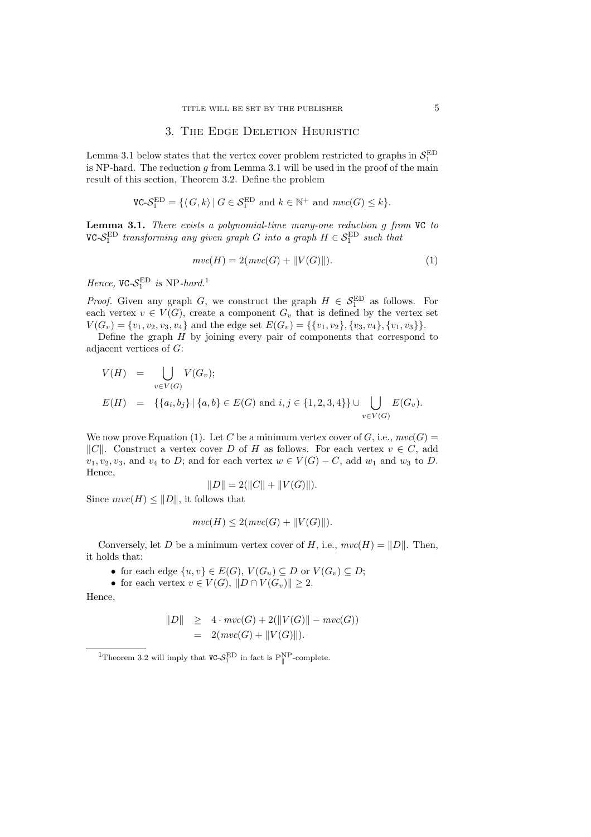#### 3. The Edge Deletion Heuristic

Lemma 3.1 below states that the vertex cover problem restricted to graphs in  $\mathcal{S}_1^{\mathrm{ED}}$ is NP-hard. The reduction  $q$  from Lemma 3.1 will be used in the proof of the main result of this section, Theorem 3.2. Define the problem

$$
\text{VC-}S_1^{\text{ED}} = \{ \langle G, k \rangle \, | \, G \in S_1^{\text{ED}} \text{ and } k \in \mathbb{N}^+ \text{ and } mvc(G) \le k \}.
$$

Lemma 3.1. There exists a polynomial-time many-one reduction g from VC to  $\texttt{VC-S}^{\textup{ED}}_1$  transforming any given graph G into a graph  $H \in \mathcal{S}^{\textup{ED}}_1$  such that

$$
mvc(H) = 2(mvc(G) + ||V(G)||). \tag{1}
$$

Hence,  $VC-S_1^{ED}$  is NP-hard.<sup>1</sup>

*Proof.* Given any graph G, we construct the graph  $H \in S_1^{\text{ED}}$  as follows. For each vertex  $v \in V(G)$ , create a component  $G_v$  that is defined by the vertex set  $V(G_v) = \{v_1, v_2, v_3, v_4\}$  and the edge set  $E(G_v) = \{\{v_1, v_2\}, \{v_3, v_4\}, \{v_1, v_3\}\}.$ 

Define the graph  $H$  by joining every pair of components that correspond to adjacent vertices of G:

$$
V(H) = \bigcup_{v \in V(G)} V(G_v);
$$
  
\n
$$
E(H) = \{ \{a_i, b_j\} \mid \{a, b\} \in E(G) \text{ and } i, j \in \{1, 2, 3, 4\} \} \cup \bigcup_{v \in V(G)} E(G_v).
$$

We now prove Equation (1). Let C be a minimum vertex cover of G, i.e.,  $mvc(G)$  $\Vert C \Vert$ . Construct a vertex cover D of H as follows. For each vertex v ∈ C, add  $v_1, v_2, v_3$ , and  $v_4$  to D; and for each vertex  $w \in V(G) - C$ , add  $w_1$  and  $w_3$  to D. Hence,

$$
||D|| = 2(||C|| + ||V(G)||).
$$

Since  $mvc(H) \leq ||D||$ , it follows that

$$
mvc(H) \le 2(mvc(G) + ||V(G)||).
$$

Conversely, let D be a minimum vertex cover of H, i.e.,  $\mathit{mvc}(H) = ||D||$ . Then, it holds that:

• for each edge  $\{u, v\} \in E(G)$ ,  $V(G_u) \subseteq D$  or  $V(G_v) \subseteq D$ ;

• for each vertex  $v \in V(G)$ ,  $||D \cap V(G_v)|| \geq 2$ .

Hence,

$$
||D|| \ge 4 \cdot mvc(G) + 2(||V(G)|| - mvc(G))
$$
  
= 2(mvc(G) + ||V(G)||).

<sup>&</sup>lt;sup>1</sup>Theorem 3.2 will imply that  $VC\text{-}S_1^{\text{ED}}$  in fact is  $P_{\parallel}^{\text{NP}}$ -complete.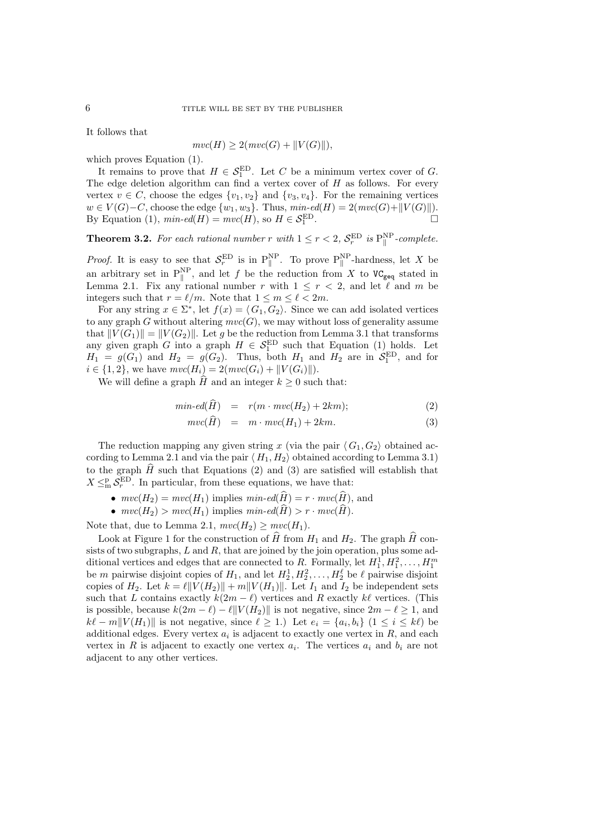It follows that

$$
mvc(H) \ge 2(mvc(G) + ||V(G)||),
$$

which proves Equation (1).

It remains to prove that  $H \in \mathcal{S}_1^{\text{ED}}$ . Let C be a minimum vertex cover of G. The edge deletion algorithm can find a vertex cover of  $H$  as follows. For every vertex  $v \in C$ , choose the edges  $\{v_1, v_2\}$  and  $\{v_3, v_4\}$ . For the remaining vertices  $w \in V(G) - C$ , choose the edge  $\{w_1, w_3\}$ . Thus,  $min\text{-}ed(H) = 2(mvc(G)+\|V(G)\|)$ . By Equation (1),  $min\text{-}ed(H) = mvc(H)$ , so  $H \in \mathcal{S}_1^{\mathrm{ED}}$ .

**Theorem 3.2.** For each rational number r with  $1 \leq r < 2$ ,  $S_r^{\text{ED}}$  is  $P_{\parallel}^{\text{NP}}$ -complete.

*Proof.* It is easy to see that  $S_r^{\text{ED}}$  is in  $P_{\parallel}^{\text{NP}}$ . To prove  $P_{\parallel}^{\text{NP}}$ -hardness, let X be an arbitrary set in  $P_{\parallel}^{\text{NP}}$ , and let f be the reduction from X to  $VC_{geq}$  stated in Lemma 2.1. Fix any rational number r with  $1 \leq r < 2$ , and let  $\ell$  and m be integers such that  $r = \ell/m$ . Note that  $1 \le m \le \ell < 2m$ .

For any string  $x \in \Sigma^*$ , let  $f(x) = \langle G_1, G_2 \rangle$ . Since we can add isolated vertices to any graph G without altering  $mvc(G)$ , we may without loss of generality assume that  $||V(G_1)|| = ||V(G_2)||$ . Let g be the reduction from Lemma 3.1 that transforms any given graph G into a graph  $H \in \mathcal{S}_1^{\text{ED}}$  such that Equation (1) holds. Let  $H_1 = g(G_1)$  and  $H_2 = g(G_2)$ . Thus, both  $H_1$  and  $H_2$  are in  $S_1^{\text{ED}}$ , and for  $i \in \{1, 2\}$ , we have  $mvc(H_i) = 2(mvc(G_i) + ||V(G_i)||)$ .

We will define a graph  $\hat{H}$  and an integer  $k \geq 0$  such that:

$$
min\text{-}ed(\widehat{H}) = r(m \cdot mvc(H_2) + 2km); \qquad (2)
$$

$$
mvc(H) = m \cdot mvc(H_1) + 2km. \tag{3}
$$

The reduction mapping any given string x (via the pair  $\langle G_1, G_2 \rangle$  obtained according to Lemma 2.1 and via the pair  $\langle H_1, H_2 \rangle$  obtained according to Lemma 3.1) to the graph  $\hat{H}$  such that Equations (2) and (3) are satisfied will establish that  $X \leq^{\mathrm{p}}_{m} \mathcal{S}_{r}^{\mathrm{ED}}$ . In particular, from these equations, we have that:

- $mvc(H_2) = mvc(H_1)$  implies  $min$ - $ed(\widehat{H}) = r \cdot mvc(\widehat{H})$ , and
- $mvc(H_2) > mvc(H_1)$  implies  $min\text{-}ed(\widehat{H}) > r \cdot mvc(\widehat{H}).$

Note that, due to Lemma 2.1,  $mvc(H_2) \geq mvc(H_1)$ .

Look at Figure 1 for the construction of  $\widehat{H}$  from  $H_1$  and  $H_2$ . The graph  $\widehat{H}$  consists of two subgraphs,  $L$  and  $R$ , that are joined by the join operation, plus some additional vertices and edges that are connected to R. Formally, let  $H_1^1, H_1^2, \ldots, H_1^m$ be m pairwise disjoint copies of  $H_1$ , and let  $H_2^1, H_2^2, \ldots, H_2^{\ell}$  be  $\ell$  pairwise disjoint copies of  $H_2$ . Let  $k = \ell ||V(H_2)|| + m||V(H_1)||$ . Let  $I_1$  and  $I_2$  be independent sets such that L contains exactly  $k(2m - \ell)$  vertices and R exactly  $k\ell$  vertices. (This is possible, because  $k(2m - \ell) - \ell ||V(H_2)||$  is not negative, since  $2m - \ell \geq 1$ , and  $k\ell - m\|V(H_1)\|$  is not negative, since  $\ell \geq 1$ .) Let  $e_i = \{a_i, b_i\}$   $(1 \leq i \leq k\ell)$  be additional edges. Every vertex  $a_i$  is adjacent to exactly one vertex in  $R$ , and each vertex in R is adjacent to exactly one vertex  $a_i$ . The vertices  $a_i$  and  $b_i$  are not adjacent to any other vertices.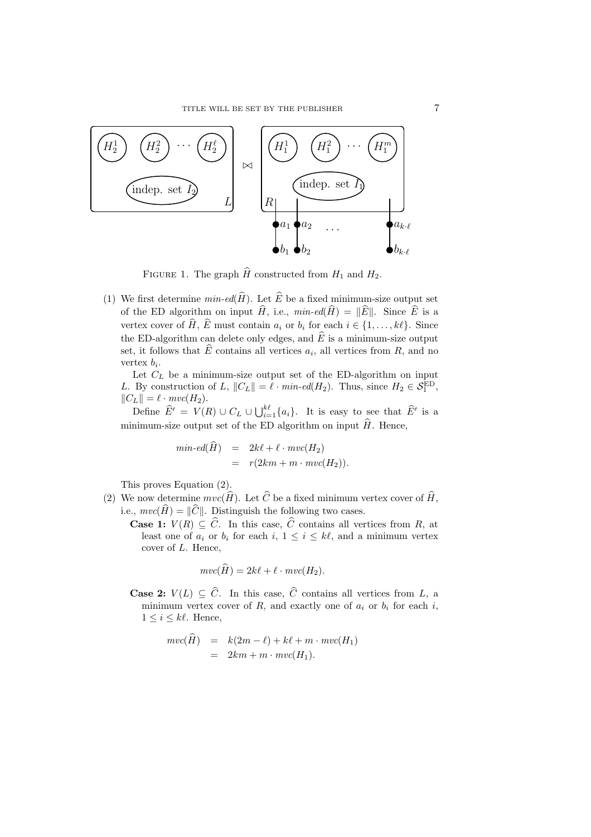

FIGURE 1. The graph  $\widehat{H}$  constructed from  $H_1$  and  $H_2$ .

(1) We first determine  $min\text{-}ed(\widehat{H})$ . Let  $\widehat{E}$  be a fixed minimum-size output set of the ED algorithm on input  $\widehat{H}$ , i.e.,  $min\text{-}ed(\widehat{H}) = \|\widehat{E}\|$ . Since  $\widehat{E}$  is a vertex cover of  $\widehat{H}$ ,  $\widehat{E}$  must contain  $a_i$  or  $b_i$  for each  $i \in \{1, ..., k\ell\}$ . Since the ED-algorithm can delete only edges, and  $\widehat{E}$  is a minimum-size output set, it follows that E contains all vertices  $a_i$ , all vertices from R, and no vertex  $b_i$ .

Let  $C_L$  be a minimum-size output set of the ED-algorithm on input L. By construction of L,  $||C_L|| = \ell \cdot min\text{-}ed(H_2)$ . Thus, since  $H_2 \in \mathcal{S}_1^{\text{ED}}$ ,  $||C_L|| = \ell \cdot mvc(H_2).$ 

Define  $\widehat{E}' = V(R) \cup C_L \cup \bigcup_{i=1}^{k\ell} \{a_i\}.$  It is easy to see that  $\widehat{E}'$  is a minimum-size output set of the ED algorithm on input  $\widehat{H}$ . Hence,

$$
min\text{-}ed(\widehat{H}) = 2k\ell + \ell \cdot mvc(H_2)
$$
  
= 
$$
r(2km + m \cdot mvc(H_2)).
$$

This proves Equation (2).

- (2) We now determine  $mvc(\widehat{H})$ . Let  $\widehat{C}$  be a fixed minimum vertex cover of  $\widehat{H}$ , i.e.,  $\mathit{mvc}(\widehat{H}) = ||\widehat{C}||$ . Distinguish the following two cases.
	- **Case 1:**  $V(R) \subseteq \widehat{C}$ . In this case,  $\widehat{C}$  contains all vertices from R, at least one of  $a_i$  or  $b_i$  for each  $i, 1 \leq i \leq k\ell$ , and a minimum vertex cover of L. Hence,

$$
mvc(\hat{H})=2k\ell+\ell\cdot mvc(H_2).
$$

**Case 2:**  $V(L) \subseteq \widehat{C}$ . In this case,  $\widehat{C}$  contains all vertices from L, a minimum vertex cover of  $R$ , and exactly one of  $a_i$  or  $b_i$  for each i,  $1 \leq i \leq k\ell$ . Hence,

$$
mvc(H) = k(2m - \ell) + k\ell + m \cdot mvc(H_1)
$$
  
= 2km + m \cdot mvc(H\_1).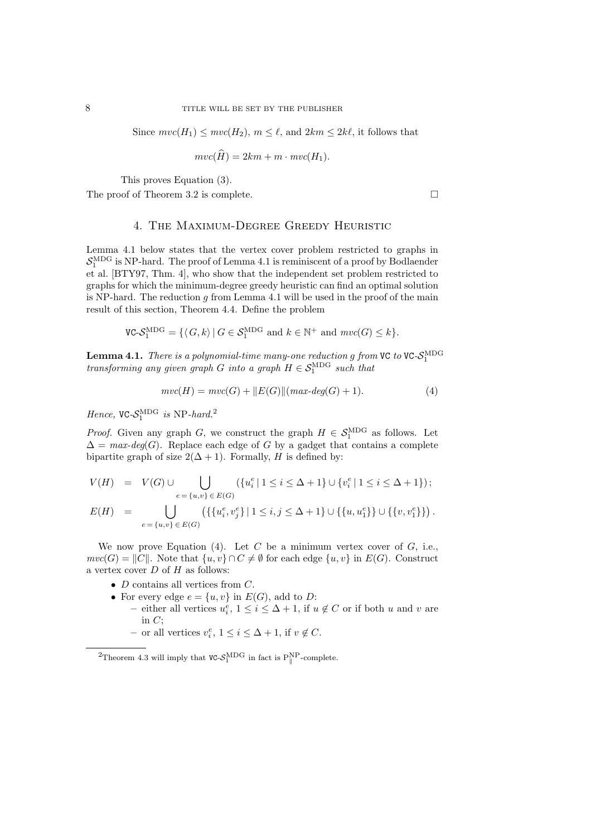Since  $mvc(H_1) \leq mvc(H_2), m \leq \ell$ , and  $2km \leq 2k\ell$ , it follows that

$$
mvc(H) = 2km + m \cdot mvc(H_1).
$$

This proves Equation (3).

The proof of Theorem 3.2 is complete.  $\Box$ 

## 4. The Maximum-Degree Greedy Heuristic

Lemma 4.1 below states that the vertex cover problem restricted to graphs in  $\mathcal{S}_1^{\text{MDG}}$  is NP-hard. The proof of Lemma 4.1 is reminiscent of a proof by Bodlaender et al. [BTY97, Thm. 4], who show that the independent set problem restricted to graphs for which the minimum-degree greedy heuristic can find an optimal solution is NP-hard. The reduction  $q$  from Lemma 4.1 will be used in the proof of the main result of this section, Theorem 4.4. Define the problem

$$
\text{VC-}S_1^{\text{MDG}} = \{ \langle G, k \rangle \mid G \in S_1^{\text{MDG}} \text{ and } k \in \mathbb{N}^+ \text{ and } mvc(G) \le k \}.
$$

**Lemma 4.1.** There is a polynomial-time many-one reduction g from VC to VC- $\mathcal{S}_1^{\text{MDG}}$ transforming any given graph G into a graph  $H \in \mathcal{S}_1^{\text{MDG}}$  such that

$$
mvc(H) = mvc(G) + ||E(G)||(max\text{-}deg(G) + 1).
$$
\n(4)

Hence,  $VC-S_1^{\text{MDG}}$  is NP-hard.<sup>2</sup>

*Proof.* Given any graph G, we construct the graph  $H \in S_1^{\text{MDG}}$  as follows. Let  $\Delta = \text{max-deg}(G)$ . Replace each edge of G by a gadget that contains a complete bipartite graph of size  $2(\Delta + 1)$ . Formally, H is defined by:

$$
V(H) = V(G) \cup \bigcup_{e=\{u,v\} \in E(G)} (\{u_i^e | 1 \le i \le \Delta + 1\} \cup \{v_i^e | 1 \le i \le \Delta + 1\});
$$
  

$$
E(H) = \bigcup (\{\{u_i^e, v_j^e\} | 1 \le i, j \le \Delta + 1\} \cup \{\{u, u_1^e\}\} \cup \{\{v, v_1^e\}\}).
$$

 $e = \{u, v\} \in E(G)$ We now prove Equation  $(4)$ . Let C be a minimum vertex cover of G, i.e.,

 $\mathit{mvc}(G) = ||C||$ . Note that  $\{u, v\} \cap C \neq \emptyset$  for each edge  $\{u, v\}$  in  $E(G)$ . Construct a vertex cover  $D$  of  $H$  as follows:

- $\bullet$  *D* contains all vertices from *C*.
- For every edge  $e = \{u, v\}$  in  $E(G)$ , add to D:
	- − either all vertices  $u_i^e$ ,  $1 \le i \le \Delta + 1$ , if  $u \notin C$  or if both  $u$  and  $v$  are in  $C$ :
	- − or all vertices  $v_i^e$ ,  $1 \le i \le \Delta + 1$ , if  $v \notin C$ .

<sup>&</sup>lt;sup>2</sup>Theorem 4.3 will imply that  $VC\text{-}\mathcal{S}_1^{\text{MDG}}$  in fact is  $P_{\parallel}^{\text{NP}}$ -complete.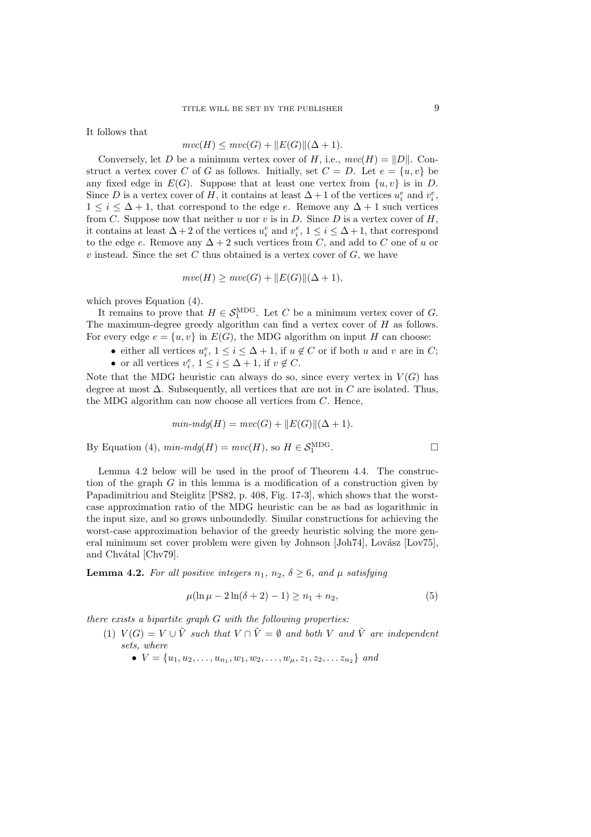It follows that

#### $\mathit{mvc}(H) \leq \mathit{mvc}(G) + ||E(G)||(\Delta + 1).$

Conversely, let D be a minimum vertex cover of H, i.e.,  $\textit{mvc}(H) = ||D||$ . Construct a vertex cover C of G as follows. Initially, set  $C = D$ . Let  $e = \{u, v\}$  be any fixed edge in  $E(G)$ . Suppose that at least one vertex from  $\{u, v\}$  is in D. Since D is a vertex cover of H, it contains at least  $\Delta + 1$  of the vertices  $u_i^e$  and  $v_i^e$ ,  $1 \leq i \leq \Delta + 1$ , that correspond to the edge e. Remove any  $\Delta + 1$  such vertices from C. Suppose now that neither u nor v is in D. Since D is a vertex cover of  $H$ , it contains at least  $\Delta + 2$  of the vertices  $u_i^e$  and  $v_i^e$ ,  $1 \leq i \leq \Delta + 1$ , that correspond to the edge e. Remove any  $\Delta + 2$  such vertices from C, and add to C one of u or  $v$  instead. Since the set  $C$  thus obtained is a vertex cover of  $G$ , we have

$$
mvc(H) \geq mvc(G) + ||E(G)||(\Delta + 1),
$$

which proves Equation (4).

It remains to prove that  $H \in \mathcal{S}_1^{\text{MDG}}$ . Let C be a minimum vertex cover of G. The maximum-degree greedy algorithm can find a vertex cover of  $H$  as follows. For every edge  $e = \{u, v\}$  in  $E(G)$ , the MDG algorithm on input H can choose:

- either all vertices  $u_i^e$ ,  $1 \leq i \leq \Delta + 1$ , if  $u \notin C$  or if both u and v are in C;
- or all vertices  $v_i^e$ ,  $1 \leq i \leq \Delta + 1$ , if  $v \notin C$ .

Note that the MDG heuristic can always do so, since every vertex in  $V(G)$  has degree at most  $\Delta$ . Subsequently, all vertices that are not in C are isolated. Thus, the MDG algorithm can now choose all vertices from C. Hence,

$$
min\text{-}mdg(H) = mvc(G) + ||E(G)||(\Delta+1).
$$

By Equation (4),  $min\text{-}mdg(H) = mvc(H)$ , so  $H \in \mathcal{S}_1^{\text{MDG}}$ . — Профессор — Профессор — Профессор — Профессор — Профессор — Профессор — Профессор — Профессор — Профессор <br>В профессор — Профессор — Профессор — Профессор — Профессор — Профессор — Профессор — Профессор — Профессор —

Lemma 4.2 below will be used in the proof of Theorem 4.4. The construction of the graph  $G$  in this lemma is a modification of a construction given by Papadimitriou and Steiglitz [PS82, p. 408, Fig. 17-3], which shows that the worstcase approximation ratio of the MDG heuristic can be as bad as logarithmic in the input size, and so grows unboundedly. Similar constructions for achieving the worst-case approximation behavior of the greedy heuristic solving the more general minimum set cover problem were given by Johnson  $[John74]$ , Lovász  $[Low75]$ , and Chvátal [Chv79].

**Lemma 4.2.** For all positive integers  $n_1$ ,  $n_2$ ,  $\delta \geq 6$ , and  $\mu$  satisfying

$$
\mu(\ln \mu - 2\ln(\delta + 2) - 1) \ge n_1 + n_2,\tag{5}
$$

there exists a bipartite graph G with the following properties:

- (1)  $V(G) = V \cup \tilde{V}$  such that  $V \cap \tilde{V} = \emptyset$  and both V and  $\tilde{V}$  are independent sets, where
	- $V = \{u_1, u_2, \ldots, u_{n_1}, w_1, w_2, \ldots, w_{\mu}, z_1, z_2, \ldots z_{n_2}\}\$ and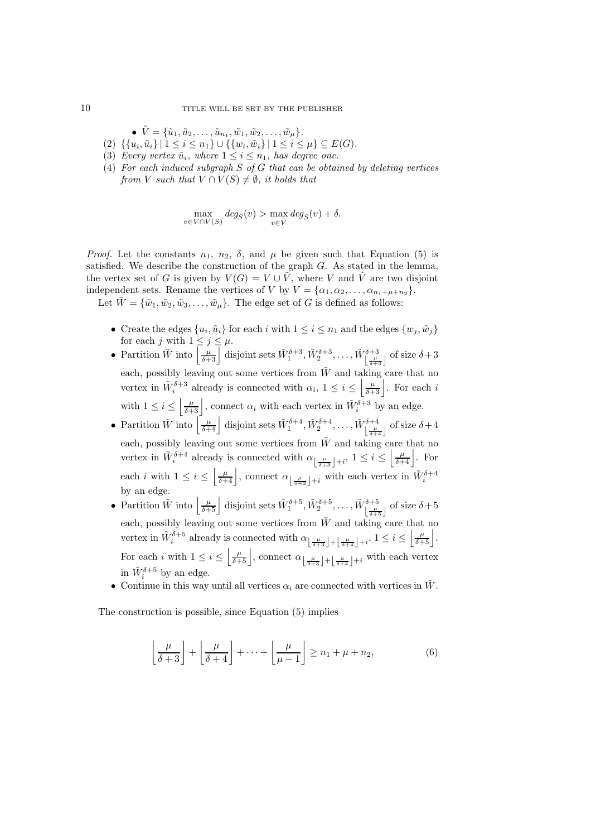- $\tilde{V} = {\tilde{u}_1, \tilde{u}_2, \ldots, \tilde{u}_{n_1}, \tilde{w}_1, \tilde{w}_2, \ldots, \tilde{w}_{\mu}}.$
- $(2) \ \{ \{u_i, \tilde{u}_i\} \mid 1 \leq i \leq n_1 \} \cup \{ \{w_i, \tilde{w}_i\} \mid 1 \leq i \leq \mu \} \subseteq E(G).$
- (3) Every vertex  $\tilde{u}_i$ , where  $1 \leq i \leq n_1$ , has degree one.
- (4) For each induced subgraph S of G that can be obtained by deleting vertices from V such that  $V \cap V(S) \neq \emptyset$ , it holds that

$$
\max_{v \in V \cap V(S)} \deg_S(v) > \max_{v \in \tilde{V}} \deg_S(v) + \delta.
$$

*Proof.* Let the constants  $n_1$ ,  $n_2$ ,  $\delta$ , and  $\mu$  be given such that Equation (5) is satisfied. We describe the construction of the graph  $G$ . As stated in the lemma, the vertex set of G is given by  $V(G) = V \cup \tilde{V}$ , where V and  $\tilde{V}$  are two disjoint independent sets. Rename the vertices of V by  $V = {\alpha_1, \alpha_2, \ldots, \alpha_{n_1+\mu+n_2}}$ .

Let  $\tilde{W} = {\tilde{w}_1, \tilde{w}_2, \tilde{w}_3, \ldots, \tilde{w}_\mu}$ . The edge set of G is defined as follows:

- Create the edges  $\{u_i, \tilde{u}_i\}$  for each i with  $1 \leq i \leq n_1$  and the edges  $\{w_j, \tilde{w}_j\}$ for each j with  $1 \leq j \leq \mu$ .
- Partition  $\tilde{W}$  into  $\left[\frac{\mu}{\delta+3}\right]$  disjoint sets  $\tilde{W}^{\delta+3}_1, \tilde{W}^{\delta+3}_2, \ldots, \tilde{W}^{\delta+3}_{\left[\frac{\mu}{\delta+3}\right]}$  of size  $\delta+3$ each, possibly leaving out some vertices from  $\tilde{W}$  and taking care that no vertex in  $\tilde{W}_i^{\delta+3}$  already is connected with  $\alpha_i$ ,  $1 \leq i \leq \left\lfloor \frac{\mu}{\delta+3} \right\rfloor$ . For each i with  $1 \leq i \leq \left\lfloor \frac{\mu}{\delta+3} \right\rfloor$ , connect  $\alpha_i$  with each vertex in  $\tilde{W}_i^{\delta+3}$  by an edge.
- Partition  $\tilde{W}$  into  $\left[\frac{\mu}{\delta+4}\right]$  disjoint sets  $\tilde{W}^{\delta+4}_1, \tilde{W}^{\delta+4}_2, \ldots, \tilde{W}^{\delta+4}_{\left[\frac{\mu}{\delta+4}\right]}$  of size  $\delta+4$ each, possibly leaving out some vertices from  $\tilde{W}$  and taking care that no vertex in  $\tilde{W}_{i}^{\delta+4}$  already is connected with  $\alpha_{\lfloor \frac{\mu}{\delta+3} \rfloor+i}, 1 \leq i \leq \lfloor \frac{\mu}{\delta+4} \rfloor$ . For each *i* with  $1 \leq i \leq \left\lfloor \frac{\mu}{\delta+4} \right\rfloor$ , connect  $\alpha_{\left\lfloor \frac{\mu}{\delta+3} \right\rfloor+i}$  with each vertex in  $\tilde{W}_{i}^{\delta+4}$ by an edge.
- Partition  $\tilde{W}$  into  $\left\lfloor \frac{\mu}{\delta+5} \right\rfloor$  disjoint sets  $\tilde{W}^{\delta+5}_1, \tilde{W}^{\delta+5}_2, \ldots, \tilde{W}^{\delta+5}_{\left\lfloor \frac{\mu}{\delta+5} \right\rfloor}$  of size  $\delta+5$ each, possibly leaving out some vertices from  $\tilde{W}$  and taking care that no vertex in  $\tilde{W}_{i}^{\delta+5}$  already is connected with  $\alpha_{\lfloor \frac{\mu}{\delta+3} \rfloor+\lfloor \frac{\mu}{\delta+4} \rfloor+i}, 1 \leq i \leq \lfloor \frac{\mu}{\delta+5} \rfloor$ . For each i with  $1 \leq i \leq \left\lfloor \frac{\mu}{\delta+5} \right\rfloor$ , connect  $\alpha_{\left\lfloor \frac{\mu}{\delta+3} \right\rfloor + \left\lfloor \frac{\mu}{\delta+4} \right\rfloor + i}$  with each vertex in  $\tilde{W}_i^{\delta+5}$  by an edge.
- Continue in this way until all vertices  $\alpha_i$  are connected with vertices in  $\tilde{W}$ .

The construction is possible, since Equation (5) implies

$$
\left\lfloor \frac{\mu}{\delta+3} \right\rfloor + \left\lfloor \frac{\mu}{\delta+4} \right\rfloor + \dots + \left\lfloor \frac{\mu}{\mu-1} \right\rfloor \ge n_1 + \mu + n_2, \tag{6}
$$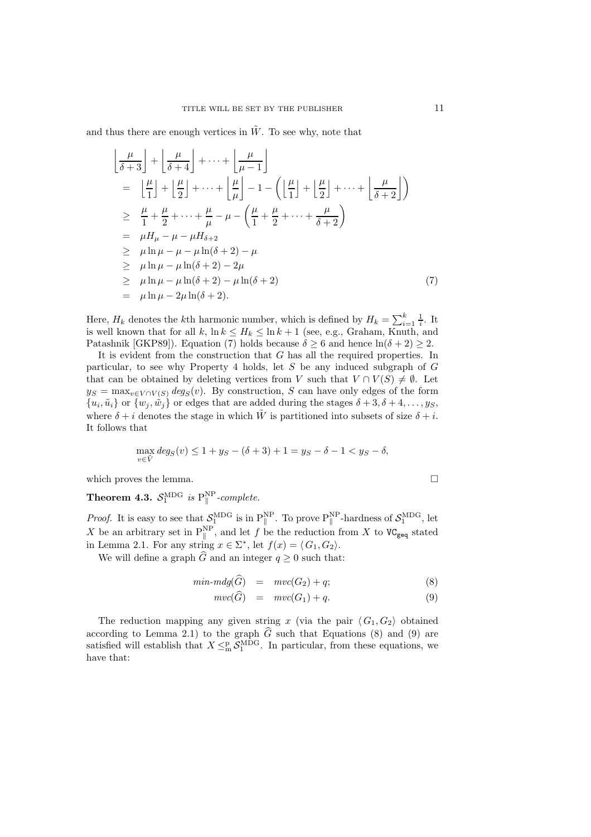and thus there are enough vertices in  $\tilde{W}$ . To see why, note that

$$
\begin{aligned}\n\left\lfloor \frac{\mu}{\delta+3} \right\rfloor &+ \left\lfloor \frac{\mu}{\delta+4} \right\rfloor + \dots + \left\lfloor \frac{\mu}{\mu-1} \right\rfloor \\
&= \left\lfloor \frac{\mu}{1} \right\rfloor + \left\lfloor \frac{\mu}{2} \right\rfloor + \dots + \left\lfloor \frac{\mu}{\mu} \right\rfloor - 1 - \left( \left\lfloor \frac{\mu}{1} \right\rfloor + \left\lfloor \frac{\mu}{2} \right\rfloor + \dots + \left\lfloor \frac{\mu}{\delta+2} \right\rfloor \right) \\
&\geq \frac{\mu}{1} + \frac{\mu}{2} + \dots + \frac{\mu}{\mu} - \mu - \left( \frac{\mu}{1} + \frac{\mu}{2} + \dots + \frac{\mu}{\delta+2} \right) \\
&= \mu H_{\mu} - \mu - \mu H_{\delta+2} \\
&\geq \mu \ln \mu - \mu - \mu \ln(\delta + 2) - \mu \\
&\geq \mu \ln \mu - \mu \ln(\delta + 2) - 2\mu \\
&\geq \mu \ln \mu - \mu \ln(\delta + 2) - \mu \ln(\delta + 2) \\
&= \mu \ln \mu - 2\mu \ln(\delta + 2).\n\end{aligned} \tag{7}
$$

Here,  $H_k$  denotes the k<sup>th</sup> harmonic number, which is defined by  $H_k = \sum_{i=1}^k \frac{1}{i}$ . It is well known that for all k,  $\ln k \leq H_k \leq \ln k + 1$  (see, e.g., Graham, Knuth, and Patashnik [GKP89]). Equation (7) holds because  $\delta \geq 6$  and hence  $\ln(\delta + 2) \geq 2$ .

It is evident from the construction that G has all the required properties. In particular, to see why Property 4 holds, let  $S$  be any induced subgraph of  $G$ that can be obtained by deleting vertices from V such that  $V \cap V(S) \neq \emptyset$ . Let  $y_S = \max_{v \in V \cap V(S)} deg_S(v)$ . By construction, S can have only edges of the form  $\{u_i, \tilde{u}_i\}$  or  $\{w_j, \tilde{w}_j\}$  or edges that are added during the stages  $\delta + 3, \delta + 4, \ldots, y_S$ , where  $\delta + i$  denotes the stage in which W is partitioned into subsets of size  $\delta + i$ . It follows that

$$
\max_{v \in \tilde{V}} deg_S(v) \le 1 + y_S - (\delta + 3) + 1 = y_S - \delta - 1 < y_S - \delta,
$$

which proves the lemma.  $\Box$ 

**Theorem 4.3.**  $\mathcal{S}_1^{\text{MDG}}$  is  $P_{\parallel}^{\text{NP}}$ -complete.

*Proof.* It is easy to see that  $S_1^{\text{MDG}}$  is in  $P_{\parallel}^{\text{NP}}$ . To prove  $P_{\parallel}^{\text{NP}}$ -hardness of  $S_1^{\text{MDG}}$ , let X be an arbitrary set in  $P_{\parallel}^{\text{NP}}$ , and let f be the reduction from X to  $VC_{\text{geq}}$  stated in Lemma 2.1. For any string  $x \in \Sigma^*$ , let  $f(x) = \langle G_1, G_2 \rangle$ .

We will define a graph  $\widehat{G}$  and an integer  $q \geq 0$  such that:

$$
min\text{-}mdg(\widehat{G}) = mvc(G_2) + q;
$$
\n(8)

$$
mvc(\overrightarrow{G}) = mvc(G_1) + q. \tag{9}
$$

The reduction mapping any given string x (via the pair  $\langle G_1, G_2 \rangle$  obtained according to Lemma 2.1) to the graph G such that Equations (8) and (9) are satisfied will establish that  $X \leq^{\mathsf{p}}_{\mathsf{n}} \mathcal{S}_{1}^{\mathsf{MDG}}$ . In particular, from these equations, we have that: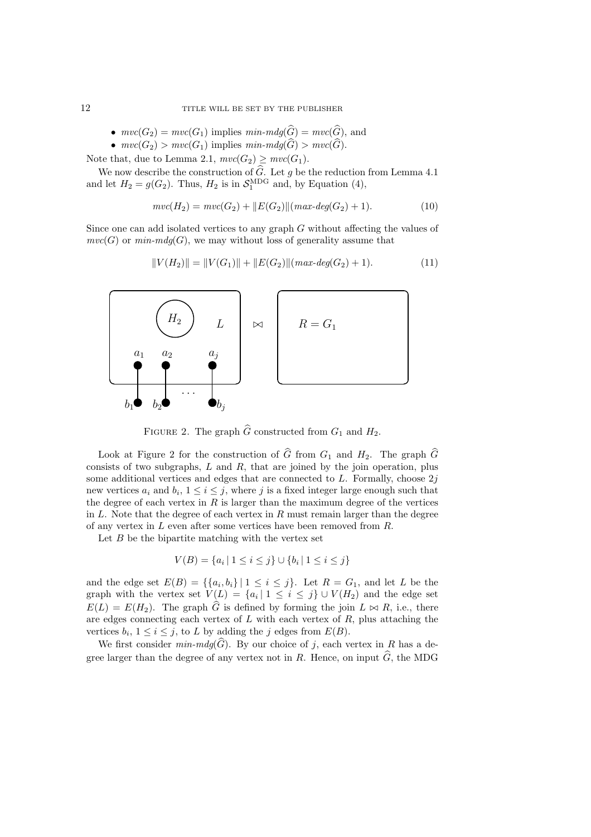- $mc(G_2) = mvc(G_1)$  implies  $min\text{-}mdg(\widehat{G}) = mvc(\widehat{G}),$  and
- $mc(G_2) > mvc(G_1)$  implies  $min\text{-}mdg(\widehat{G}) > mvc(\widehat{G})$ .

Note that, due to Lemma 2.1,  $\mathit{mvc}(G_2) \geq \mathit{mvc}(G_1)$ .

We now describe the construction of  $\widehat{G}$ . Let g be the reduction from Lemma 4.1 and let  $H_2 = g(G_2)$ . Thus,  $H_2$  is in  $\mathcal{S}_1^{\text{MDG}}$  and, by Equation (4),

$$
mvc(H_2) = mvc(G_2) + ||E(G_2)||(max\text{-}deg(G_2) + 1). \tag{10}
$$

Since one can add isolated vertices to any graph G without affecting the values of  $mvc(G)$  or  $min\text{-}mdg(G)$ , we may without loss of generality assume that

$$
||V(H_2)|| = ||V(G_1)|| + ||E(G_2)||(\max \cdot \deg(G_2) + 1). \tag{11}
$$



FIGURE 2. The graph  $\widehat{G}$  constructed from  $G_1$  and  $H_2$ .

Look at Figure 2 for the construction of  $\widehat{G}$  from  $G_1$  and  $H_2$ . The graph  $\widehat{G}$ consists of two subgraphs,  $L$  and  $R$ , that are joined by the join operation, plus some additional vertices and edges that are connected to  $L$ . Formally, choose  $2j$ new vertices  $a_i$  and  $b_i$ ,  $1 \leq i \leq j$ , where j is a fixed integer large enough such that the degree of each vertex in  $R$  is larger than the maximum degree of the vertices in  $L$ . Note that the degree of each vertex in  $R$  must remain larger than the degree of any vertex in  $L$  even after some vertices have been removed from  $R$ .

Let  $B$  be the bipartite matching with the vertex set

$$
V(B) = \{a_i \mid 1 \le i \le j\} \cup \{b_i \mid 1 \le i \le j\}
$$

and the edge set  $E(B) = \{ \{a_i, b_i\} | 1 \le i \le j \}$ . Let  $R = G_1$ , and let L be the graph with the vertex set  $V(L) = \{a_i | 1 \le i \le j\} \cup V(H_2)$  and the edge set  $E(L) = E(H_2)$ . The graph  $\widehat{G}$  is defined by forming the join  $L \bowtie R$ , i.e., there are edges connecting each vertex of  $L$  with each vertex of  $R$ , plus attaching the vertices  $b_i$ ,  $1 \le i \le j$ , to L by adding the j edges from  $E(B)$ .

We first consider  $min\text{-}mdg(\widehat{G})$ . By our choice of j, each vertex in R has a degree larger than the degree of any vertex not in R. Hence, on input  $\widehat{G}$ , the MDG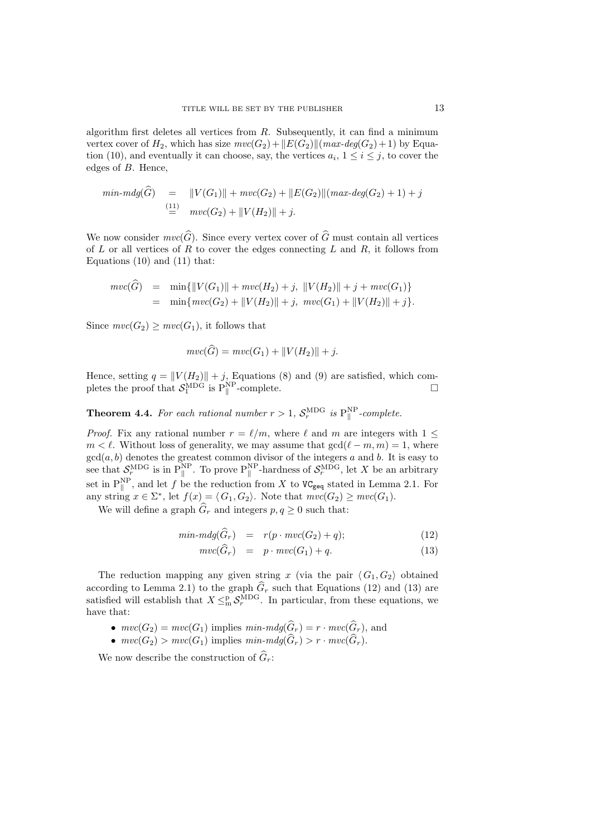algorithm first deletes all vertices from  $R$ . Subsequently, it can find a minimum vertex cover of  $H_2$ , which has size  $mvc(G_2)+\Vert E(G_2)\Vert(max-deg(G_2)+1)$  by Equation (10), and eventually it can choose, say, the vertices  $a_i$ ,  $1 \le i \le j$ , to cover the edges of B. Hence,

$$
min\text{-}mdg(\widehat{G}) = ||V(G_1)|| + mvc(G_2) + ||E(G_2)||(max\text{-}deg(G_2) + 1) + j
$$
  
\n
$$
\stackrel{(11)}{=} mvc(G_2) + ||V(H_2)|| + j.
$$

We now consider  $mvc(\widehat{G})$ . Since every vertex cover of  $\widehat{G}$  must contain all vertices of  $L$  or all vertices of  $R$  to cover the edges connecting  $L$  and  $R$ , it follows from Equations  $(10)$  and  $(11)$  that:

$$
mvc(G) = \min\{||V(G_1)|| + mvc(H_2) + j, ||V(H_2)|| + j + mvc(G_1)\}
$$
  
= 
$$
\min\{mvc(G_2) + ||V(H_2)|| + j, mvc(G_1) + ||V(H_2)|| + j\}.
$$

Since  $mvc(G_2) \geq mvc(G_1)$ , it follows that

$$
mvc(\widehat{G}) = mvc(G_1) + ||V(H_2)|| + j.
$$

Hence, setting  $q = ||V(H_2)|| + j$ , Equations (8) and (9) are satisfied, which completes the proof that  $S_1^{\text{MDG}}$  is  $P_{\parallel}^{\text{NP}}$ -complete.

**Theorem 4.4.** For each rational number  $r > 1$ ,  $\mathcal{S}_r^{\text{MDG}}$  is  $P_{\parallel}^{\text{NP}}$ -complete.

*Proof.* Fix any rational number  $r = \ell/m$ , where  $\ell$  and m are integers with  $1 \leq$  $m < \ell$ . Without loss of generality, we may assume that  $gcd(\ell - m, m) = 1$ , where  $gcd(a, b)$  denotes the greatest common divisor of the integers a and b. It is easy to see that  $S_r^{\text{MDG}}$  is in  $P_{\parallel}^{\text{NP}}$ . To prove  $P_{\parallel}^{\text{NP}}$ -hardness of  $S_r^{\text{MDG}}$ , let X be an arbitrary set in  $P_{\parallel}^{\text{NP}}$ , and let f be the reduction from X to  $VC_{geq}$  stated in Lemma 2.1. For any string  $x \in \Sigma^*$ , let  $f(x) = \langle G_1, G_2 \rangle$ . Note that  $mvc(G_2) \geq mvc(G_1)$ .

We will define a graph  $\widehat{G}_r$  and integers  $p, q \geq 0$  such that:

$$
min\text{-}mdg(\hat{G}_r) = r(p\cdot mvc(G_2) + q); \qquad (12)
$$

$$
mvc(G_r) = p \cdot mvc(G_1) + q. \tag{13}
$$

The reduction mapping any given string x (via the pair  $\langle G_1, G_2 \rangle$  obtained according to Lemma 2.1) to the graph  $G_r$  such that Equations (12) and (13) are satisfied will establish that  $X \leq^{\mathsf{p}}_{m} \mathcal{S}_{r}^{\text{MDG}}$ . In particular, from these equations, we have that:

- $mvc(G_2) = mvc(G_1)$  implies  $min\text{-}mdq(\widehat{G}_r) = r \cdot mvc(\widehat{G}_r)$ , and
- $mvc(G_2) > mvc(G_1)$  implies  $min\text{-}mdg(\widehat{G}_r) > r \cdot mvc(\widehat{G}_r)$ .

We now describe the construction of  $\hat{G}_r$ :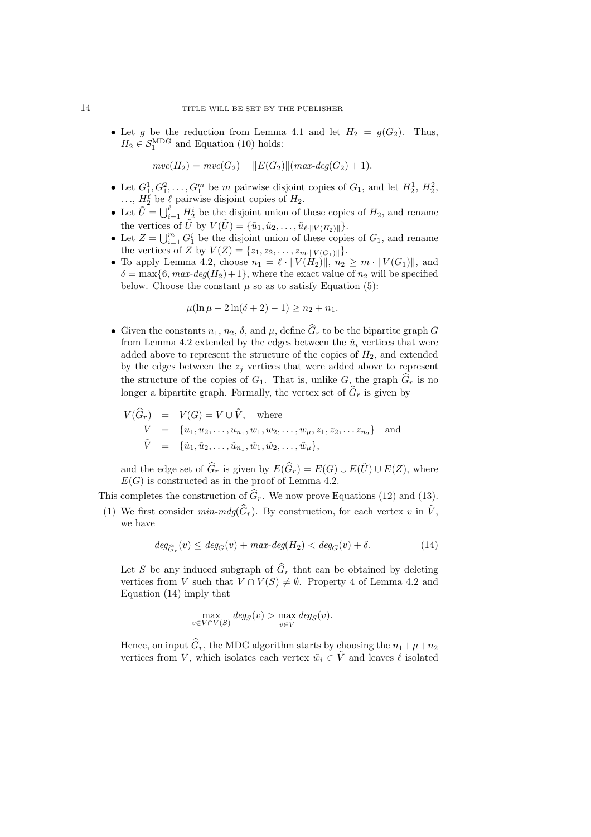• Let g be the reduction from Lemma 4.1 and let  $H_2 = g(G_2)$ . Thus,  $H_2 \in \mathcal{S}_1^{\text{MDG}}$  and Equation (10) holds:

$$
mvc(H_2) = mvc(G_2) + ||E(G_2)||(max\text{-}deg(G_2) + 1).
$$

- Let  $G_1^1, G_1^2, \ldots, G_1^m$  be m pairwise disjoint copies of  $G_1$ , and let  $H_2^1, H_2^2$ ,  $\ldots$ ,  $H_2^{\ell}$  be  $\ell$  pairwise disjoint copies of  $H_2$ .
- Let  $\tilde{U} = \bigcup_{i=1}^{\ell} H_2^i$  be the disjoint union of these copies of  $H_2$ , and rename the vertices of  $\tilde{U}$  by  $V(\tilde{U}) = {\tilde{u}_1, \tilde{u}_2, \ldots, \tilde{u}_{\ell \cdot ||V(H_2)||}}.$
- Let  $Z = \bigcup_{i=1}^m G_1^i$  be the disjoint union of these copies of  $G_1$ , and rename the vertices of Z by  $V(Z) = \{z_1, z_2, \ldots, z_{m \cdot || V(G_1) ||}\}.$
- To apply Lemma 4.2, choose  $n_1 = \ell \cdot ||V(H_2)||, n_2 \geq m \cdot ||V(G_1)||$ , and  $\delta = \max\{6, max\text{-}deg(H_2)+1\},\$  where the exact value of  $n_2$  will be specified below. Choose the constant  $\mu$  so as to satisfy Equation (5):

$$
\mu(\ln \mu - 2\ln(\delta + 2) - 1) \ge n_2 + n_1.
$$

• Given the constants  $n_1, n_2, \delta$ , and  $\mu$ , define  $\widehat{G}_r$  to be the bipartite graph G from Lemma 4.2 extended by the edges between the  $\tilde{u}_i$  vertices that were added above to represent the structure of the copies of  $H_2$ , and extended by the edges between the  $z_i$  vertices that were added above to represent the structure of the copies of  $G_1$ . That is, unlike G, the graph  $\widehat{G}_r$  is no longer a bipartite graph. Formally, the vertex set of  $\widehat{G}_r$  is given by

$$
V(\widehat{G}_r) = V(G) = V \cup \tilde{V}, \text{ where}
$$
  
\n
$$
V = \{u_1, u_2, \dots, u_{n_1}, w_1, w_2, \dots, w_{\mu}, z_1, z_2, \dots z_{n_2}\} \text{ and}
$$
  
\n
$$
\tilde{V} = \{\tilde{u}_1, \tilde{u}_2, \dots, \tilde{u}_{n_1}, \tilde{w}_1, \tilde{w}_2, \dots, \tilde{w}_{\mu}\},
$$

and the edge set of  $\widehat{G}_r$  is given by  $E(\widehat{G}_r) = E(G) \cup E(\widetilde{U}) \cup E(Z)$ , where  $E(G)$  is constructed as in the proof of Lemma 4.2.

This completes the construction of  $\hat{G}_r$ . We now prove Equations (12) and (13).

(1) We first consider  $min\text{-}mdg(\hat{G}_r)$ . By construction, for each vertex v in  $\tilde{V}$ . we have

$$
deg_{\widehat{G}_r}(v) \le deg_G(v) + max-deg(H_2) < deg_G(v) + \delta.
$$
\n(14)

Let S be any induced subgraph of  $\widehat{G}_r$  that can be obtained by deleting vertices from V such that  $V \cap V(S) \neq \emptyset$ . Property 4 of Lemma 4.2 and Equation (14) imply that

$$
\max_{v \in V \cap V(S)} \deg_S(v) > \max_{v \in \tilde{V}} \deg_S(v).
$$

Hence, on input  $\widehat{G}_r$ , the MDG algorithm starts by choosing the  $n_1+\mu+n_2$ vertices from V, which isolates each vertex  $\tilde{w}_i \in \tilde{V}$  and leaves  $\ell$  isolated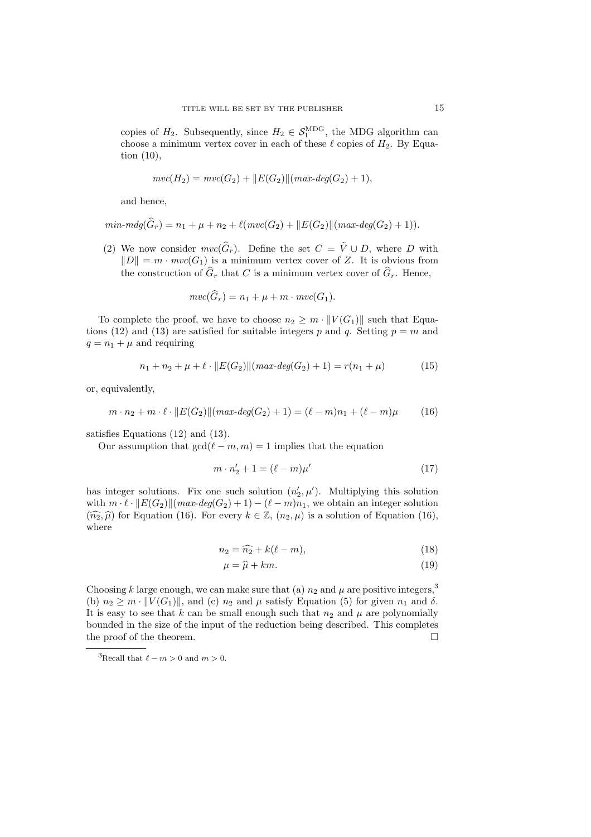copies of  $H_2$ . Subsequently, since  $H_2 \in \mathcal{S}_1^{\text{MDG}}$ , the MDG algorithm can choose a minimum vertex cover in each of these  $\ell$  copies of  $H_2$ . By Equation (10),

$$
mvc(H_2) = mvc(G_2) + ||E(G_2)||(max\text{-}deg(G_2) + 1),
$$

and hence,

$$
min\text{-}mdg(\widehat{G}_r) = n_1 + \mu + n_2 + \ell(mvc(G_2) + ||E(G_2)||(max\text{-}deg(G_2) + 1)).
$$

(2) We now consider  $mvc(\widehat{G}_r)$ . Define the set  $C = \tilde{V} \cup D$ , where D with  $||D|| = m \cdot mvc(G_1)$  is a minimum vertex cover of Z. It is obvious from the construction of  $\widehat{G}_r$  that C is a minimum vertex cover of  $\widehat{G}_r$ . Hence,

$$
mvc(\widehat{G}_r) = n_1 + \mu + m \cdot mvc(G_1).
$$

To complete the proof, we have to choose  $n_2 \geq m \cdot ||V(G_1)||$  such that Equations (12) and (13) are satisfied for suitable integers p and q. Setting  $p = m$  and  $q = n_1 + \mu$  and requiring

$$
n_1 + n_2 + \mu + \ell \cdot ||E(G_2)||(\max \text{deg}(G_2) + 1) = r(n_1 + \mu) \tag{15}
$$

or, equivalently,

$$
m \cdot n_2 + m \cdot \ell \cdot ||E(G_2)||(\max \text{deg}(G_2) + 1) = (\ell - m)n_1 + (\ell - m)\mu \tag{16}
$$

satisfies Equations (12) and (13).

Our assumption that  $gcd(\ell - m, m) = 1$  implies that the equation

$$
m \cdot n_2' + 1 = (\ell - m)\mu'
$$
 (17)

has integer solutions. Fix one such solution  $(n'_2, \mu')$ . Multiplying this solution with  $m \cdot \ell \cdot ||E(G_2)||(\text{max-deg}(G_2) + 1) - (\ell - m)n_1$ , we obtain an integer solution  $(\widehat{n_2}, \widehat{\mu})$  for Equation (16). For every  $k \in \mathbb{Z}$ ,  $(n_2, \mu)$  is a solution of Equation (16), where

$$
n_2 = \widehat{n_2} + k(\ell - m),\tag{18}
$$

$$
\mu = \widehat{\mu} + km. \tag{19}
$$

Choosing k large enough, we can make sure that (a)  $n_2$  and  $\mu$  are positive integers,<sup>3</sup> (b)  $n_2 \geq m \cdot ||V(G_1)||$ , and (c)  $n_2$  and  $\mu$  satisfy Equation (5) for given  $n_1$  and  $\delta$ . It is easy to see that k can be small enough such that  $n_2$  and  $\mu$  are polynomially bounded in the size of the input of the reduction being described. This completes the proof of the theorem.  $\Box$ 

<sup>&</sup>lt;sup>3</sup>Recall that  $\ell - m > 0$  and  $m > 0$ .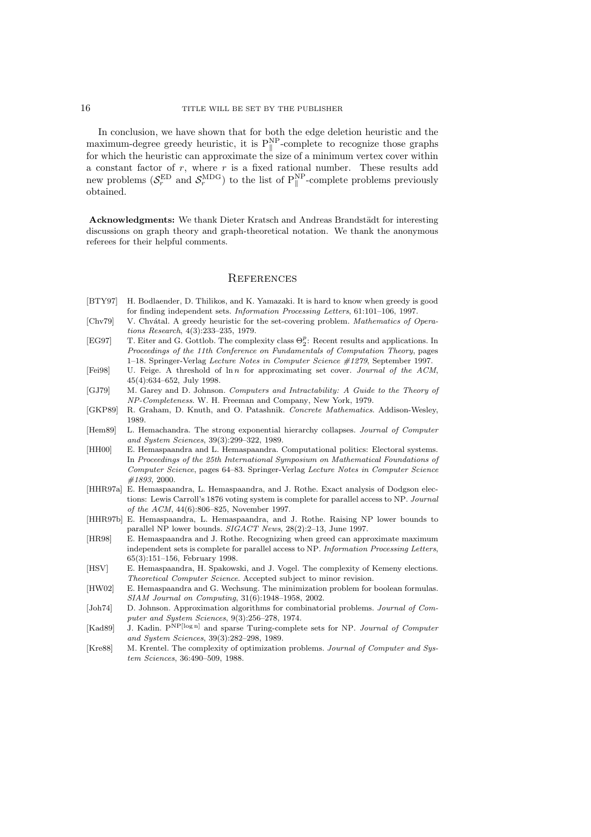#### 16 TITLE WILL BE SET BY THE PUBLISHER

In conclusion, we have shown that for both the edge deletion heuristic and the maximum-degree greedy heuristic, it is  $P_{\parallel}^{\text{NP}}$ -complete to recognize those graphs for which the heuristic can approximate the size of a minimum vertex cover within a constant factor of  $r$ , where  $r$  is a fixed rational number. These results add new problems  $(S_r^{\text{ED}} \text{ and } S_r^{\text{MDG}})$  to the list of  $P_{\parallel}^{\text{NP}}$ -complete problems previously obtained.

Acknowledgments: We thank Dieter Kratsch and Andreas Brandstädt for interesting discussions on graph theory and graph-theoretical notation. We thank the anonymous referees for their helpful comments.

### **REFERENCES**

- [BTY97] H. Bodlaender, D. Thilikos, and K. Yamazaki. It is hard to know when greedy is good for finding independent sets. Information Processing Letters, 61:101–106, 1997.
- [Chv79] V. Chvátal. A greedy heuristic for the set-covering problem. Mathematics of Operations Research, 4(3):233–235, 1979.
- [EG97] T. Eiter and G. Gottlob. The complexity class  $\Theta_2^p$ : Recent results and applications. In Proceedings of the 11th Conference on Fundamentals of Computation Theory, pages 1–18. Springer-Verlag Lecture Notes in Computer Science #1279, September 1997.
- [Fei98] U. Feige. A threshold of ln n for approximating set cover. Journal of the ACM, 45(4):634–652, July 1998.
- [GJ79] M. Garey and D. Johnson. Computers and Intractability: A Guide to the Theory of NP-Completeness. W. H. Freeman and Company, New York, 1979.
- [GKP89] R. Graham, D. Knuth, and O. Patashnik. Concrete Mathematics. Addison-Wesley, 1989.
- [Hem89] L. Hemachandra. The strong exponential hierarchy collapses. Journal of Computer and System Sciences, 39(3):299–322, 1989.
- [HH00] E. Hemaspaandra and L. Hemaspaandra. Computational politics: Electoral systems. In Proceedings of the 25th International Symposium on Mathematical Foundations of Computer Science, pages 64–83. Springer-Verlag Lecture Notes in Computer Science #1893, 2000.
- [HHR97a] E. Hemaspaandra, L. Hemaspaandra, and J. Rothe. Exact analysis of Dodgson elections: Lewis Carroll's 1876 voting system is complete for parallel access to NP. Journal of the ACM, 44(6):806–825, November 1997.
- [HHR97b] E. Hemaspaandra, L. Hemaspaandra, and J. Rothe. Raising NP lower bounds to parallel NP lower bounds. SIGACT News, 28(2):2–13, June 1997.
- [HR98] E. Hemaspaandra and J. Rothe. Recognizing when greed can approximate maximum independent sets is complete for parallel access to NP. Information Processing Letters, 65(3):151–156, February 1998.
- [HSV] E. Hemaspaandra, H. Spakowski, and J. Vogel. The complexity of Kemeny elections. Theoretical Computer Science. Accepted subject to minor revision.
- [HW02] E. Hemaspaandra and G. Wechsung. The minimization problem for boolean formulas. SIAM Journal on Computing, 31(6):1948–1958, 2002.
- [Joh74] D. Johnson. Approximation algorithms for combinatorial problems. Journal of Computer and System Sciences, 9(3):256–278, 1974.
- [Kad89] J. Kadin. PNP<sup>[log n]</sup> and sparse Turing-complete sets for NP. Journal of Computer and System Sciences, 39(3):282–298, 1989.
- [Kre88] M. Krentel. The complexity of optimization problems. Journal of Computer and System Sciences, 36:490–509, 1988.